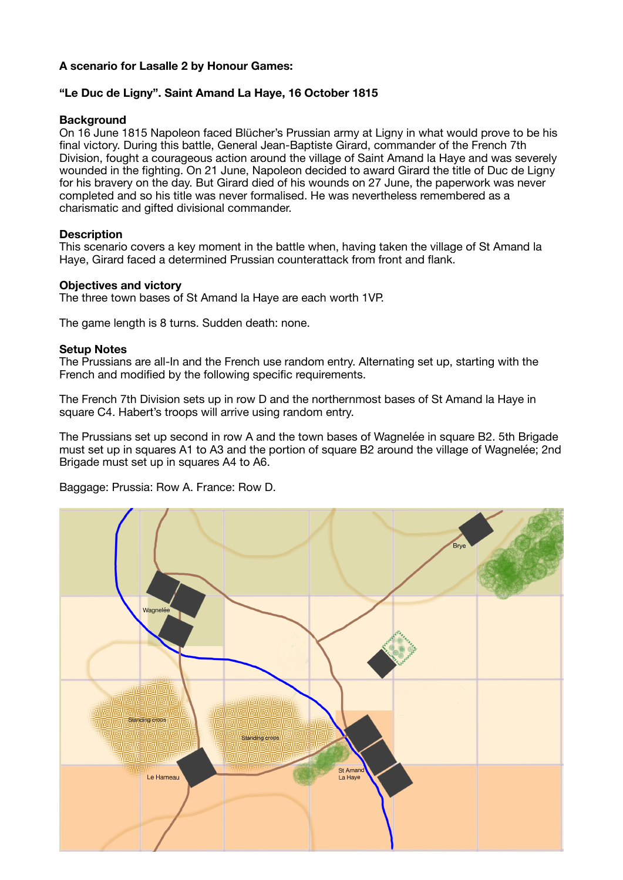# **A scenario for Lasalle 2 by Honour Games:**

# **"Le Duc de Ligny". Saint Amand La Haye, 16 October 1815**

### **Background**

On 16 June 1815 Napoleon faced Blücher's Prussian army at Ligny in what would prove to be his final victory. During this battle, General Jean-Baptiste Girard, commander of the French 7th Division, fought a courageous action around the village of Saint Amand la Haye and was severely wounded in the fighting. On 21 June, Napoleon decided to award Girard the title of Duc de Ligny for his bravery on the day. But Girard died of his wounds on 27 June, the paperwork was never completed and so his title was never formalised. He was nevertheless remembered as a charismatic and gifted divisional commander.

### **Description**

This scenario covers a key moment in the battle when, having taken the village of St Amand la Haye, Girard faced a determined Prussian counterattack from front and flank.

### **Objectives and victory**

The three town bases of St Amand la Haye are each worth 1VP.

The game length is 8 turns. Sudden death: none.

#### **Setup Notes**

The Prussians are all-In and the French use random entry. Alternating set up, starting with the French and modified by the following specific requirements.

The French 7th Division sets up in row D and the northernmost bases of St Amand la Haye in square C4. Habert's troops will arrive using random entry.

The Prussians set up second in row A and the town bases of Wagnelée in square B2. 5th Brigade must set up in squares A1 to A3 and the portion of square B2 around the village of Wagnelée; 2nd Brigade must set up in squares A4 to A6.

Baggage: Prussia: Row A. France: Row D.

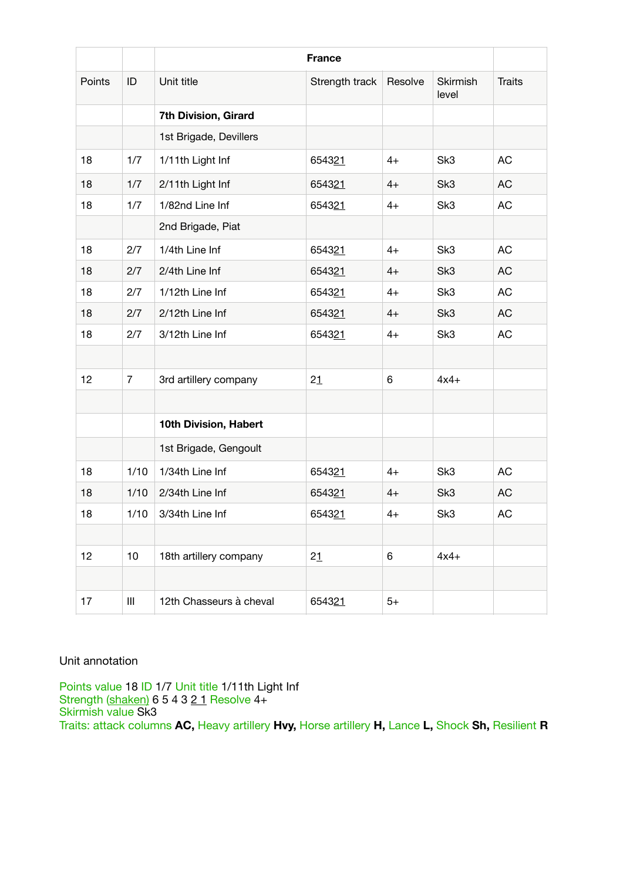|        |                | <b>France</b>           |                |         |                   |               |
|--------|----------------|-------------------------|----------------|---------|-------------------|---------------|
| Points | ID             | Unit title              | Strength track | Resolve | Skirmish<br>level | <b>Traits</b> |
|        |                | 7th Division, Girard    |                |         |                   |               |
|        |                | 1st Brigade, Devillers  |                |         |                   |               |
| 18     | 1/7            | 1/11th Light Inf        | 654321         | $4+$    | Sk3               | <b>AC</b>     |
| 18     | 1/7            | 2/11th Light Inf        | 654321         | $4+$    | Sk <sub>3</sub>   | <b>AC</b>     |
| 18     | 1/7            | 1/82nd Line Inf         | 654321         | $4+$    | Sk <sub>3</sub>   | AC            |
|        |                | 2nd Brigade, Piat       |                |         |                   |               |
| 18     | 2/7            | 1/4th Line Inf          | 654321         | $4+$    | Sk3               | <b>AC</b>     |
| 18     | 2/7            | 2/4th Line Inf          | 654321         | $4+$    | Sk3               | <b>AC</b>     |
| 18     | 2/7            | 1/12th Line Inf         | 654321         | $4+$    | Sk3               | <b>AC</b>     |
| 18     | 2/7            | 2/12th Line Inf         | 654321         | $4+$    | Sk3               | <b>AC</b>     |
| 18     | 2/7            | 3/12th Line Inf         | 654321         | $4+$    | Sk <sub>3</sub>   | AC            |
|        |                |                         |                |         |                   |               |
| 12     | $\overline{7}$ | 3rd artillery company   | 21             | 6       | $4x4+$            |               |
|        |                |                         |                |         |                   |               |
|        |                | 10th Division, Habert   |                |         |                   |               |
|        |                | 1st Brigade, Gengoult   |                |         |                   |               |
| 18     | 1/10           | 1/34th Line Inf         | 654321         | $4+$    | Sk <sub>3</sub>   | <b>AC</b>     |
| 18     | 1/10           | 2/34th Line Inf         | 654321         | $4+$    | Sk <sub>3</sub>   | <b>AC</b>     |
| 18     | 1/10           | 3/34th Line Inf         | 654321         | $4+$    | Sk <sub>3</sub>   | AC            |
|        |                |                         |                |         |                   |               |
| 12     | 10             | 18th artillery company  | 21             | 6       | $4x4+$            |               |
|        |                |                         |                |         |                   |               |
| 17     | $\mathbf{III}$ | 12th Chasseurs à cheval | 654321         | $5+$    |                   |               |

# Unit annotation

Points value 18 ID 1/7 Unit title 1/11th Light Inf Strength (shaken) 6 5 4 3 2 1 Resolve 4+ Skirmish value Sk3 Traits: attack columns **AC,** Heavy artillery **Hvy,** Horse artillery **H,** Lance **L,** Shock **Sh,** Resilient **R**